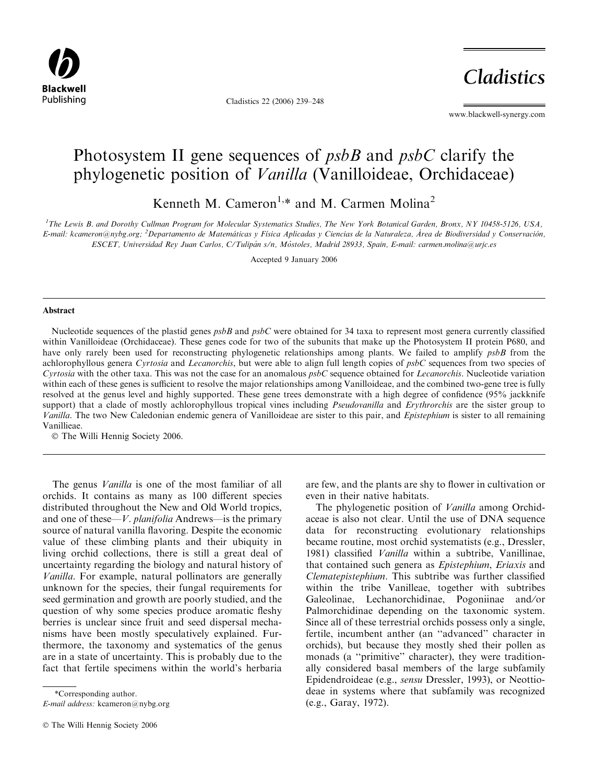

Cladistics 22 (2006) 239–248

Cladistics

www.blackwell-synergy.com

# Photosystem II gene sequences of  $psbB$  and  $psbC$  clarify the phylogenetic position of Vanilla (Vanilloideae, Orchidaceae)

Kenneth M. Cameron<sup>1,\*</sup> and M. Carmen Molina<sup>2</sup>

<sup>1</sup>The Lewis B. and Dorothy Cullman Program for Molecular Systematics Studies, The New York Botanical Garden, Bronx, NY 10458-5126, USA, E-mail: kcameron@nybg.org; <sup>2</sup>Departamento de Matemáticas y Física Aplicadas y Ciencias de la Naturaleza, Área de Biodiversidad y Conservación, ESCET, Universidad Rey Juan Carlos, C/Tulipán s/n, Móstoles, Madrid 28933, Spain, E-mail: carmen.molina@urjc.es

Accepted 9 January 2006

#### Abstract

Nucleotide sequences of the plastid genes  $psbB$  and  $psbC$  were obtained for 34 taxa to represent most genera currently classified within Vanilloideae (Orchidaceae). These genes code for two of the subunits that make up the Photosystem II protein P680, and have only rarely been used for reconstructing phylogenetic relationships among plants. We failed to amplify psbB from the achlorophyllous genera Cyrtosia and Lecanorchis, but were able to align full length copies of psbC sequences from two species of Cyrtosia with the other taxa. This was not the case for an anomalous  $psbC$  sequence obtained for *Lecanorchis*. Nucleotide variation within each of these genes is sufficient to resolve the major relationships among Vanilloideae, and the combined two-gene tree is fully resolved at the genus level and highly supported. These gene trees demonstrate with a high degree of confidence (95% jackknife support) that a clade of mostly achlorophyllous tropical vines including *Pseudovanilla* and Erythrorchis are the sister group to Vanilla. The two New Caledonian endemic genera of Vanilloideae are sister to this pair, and Epistephium is sister to all remaining Vanillieae.

The Willi Hennig Society 2006.

The genus Vanilla is one of the most familiar of all orchids. It contains as many as 100 different species distributed throughout the New and Old World tropics, and one of these—*V*. *planifolia* Andrews—is the primary source of natural vanilla flavoring. Despite the economic value of these climbing plants and their ubiquity in living orchid collections, there is still a great deal of uncertainty regarding the biology and natural history of Vanilla. For example, natural pollinators are generally unknown for the species, their fungal requirements for seed germination and growth are poorly studied, and the question of why some species produce aromatic fleshy berries is unclear since fruit and seed dispersal mechanisms have been mostly speculatively explained. Furthermore, the taxonomy and systematics of the genus are in a state of uncertainty. This is probably due to the fact that fertile specimens within the world's herbaria

\*Corresponding author. E-mail address: kcameron@nybg.org are few, and the plants are shy to flower in cultivation or even in their native habitats.

The phylogenetic position of Vanilla among Orchidaceae is also not clear. Until the use of DNA sequence data for reconstructing evolutionary relationships became routine, most orchid systematists (e.g., Dressler, 1981) classified Vanilla within a subtribe, Vanillinae, that contained such genera as Epistephium, Eriaxis and Clematepistephium. This subtribe was further classified within the tribe Vanilleae, together with subtribes Galeolinae, Lechanorchidinae, Pogoniinae and/or Palmorchidinae depending on the taxonomic system. Since all of these terrestrial orchids possess only a single, fertile, incumbent anther (an ''advanced'' character in orchids), but because they mostly shed their pollen as monads (a ''primitive'' character), they were traditionally considered basal members of the large subfamily Epidendroideae (e.g., sensu Dressler, 1993), or Neottiodeae in systems where that subfamily was recognized (e.g., Garay, 1972).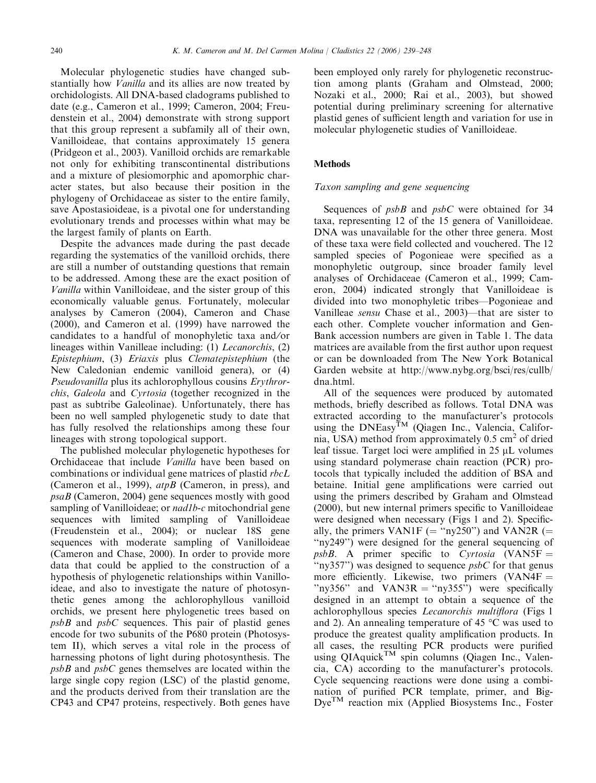Molecular phylogenetic studies have changed substantially how Vanilla and its allies are now treated by orchidologists. All DNA-based cladograms published to date (e.g., Cameron et al., 1999; Cameron, 2004; Freudenstein et al., 2004) demonstrate with strong support that this group represent a subfamily all of their own, Vanilloideae, that contains approximately 15 genera (Pridgeon et al., 2003). Vanilloid orchids are remarkable not only for exhibiting transcontinental distributions and a mixture of plesiomorphic and apomorphic character states, but also because their position in the phylogeny of Orchidaceae as sister to the entire family, save Apostasioideae, is a pivotal one for understanding evolutionary trends and processes within what may be the largest family of plants on Earth.

Despite the advances made during the past decade regarding the systematics of the vanilloid orchids, there are still a number of outstanding questions that remain to be addressed. Among these are the exact position of Vanilla within Vanilloideae, and the sister group of this economically valuable genus. Fortunately, molecular analyses by Cameron (2004), Cameron and Chase (2000), and Cameron et al. (1999) have narrowed the candidates to a handful of monophyletic taxa and ⁄or lineages within Vanilleae including: (1) Lecanorchis, (2) Epistephium, (3) Eriaxis plus Clematepistephium (the New Caledonian endemic vanilloid genera), or (4) Pseudovanilla plus its achlorophyllous cousins Erythrorchis, Galeola and Cyrtosia (together recognized in the past as subtribe Galeolinae). Unfortunately, there has been no well sampled phylogenetic study to date that has fully resolved the relationships among these four lineages with strong topological support.

The published molecular phylogenetic hypotheses for Orchidaceae that include Vanilla have been based on combinations or individual gene matrices of plastid rbcL (Cameron et al., 1999), atpB (Cameron, in press), and psaB (Cameron, 2004) gene sequences mostly with good sampling of Vanilloideae; or *nad1b-c* mitochondrial gene sequences with limited sampling of Vanilloideae (Freudenstein et al., 2004); or nuclear 18S gene sequences with moderate sampling of Vanilloideae (Cameron and Chase, 2000). In order to provide more data that could be applied to the construction of a hypothesis of phylogenetic relationships within Vanilloideae, and also to investigate the nature of photosynthetic genes among the achlorophyllous vanilloid orchids, we present here phylogenetic trees based on  $psbB$  and  $psbC$  sequences. This pair of plastid genes encode for two subunits of the P680 protein (Photosystem II), which serves a vital role in the process of harnessing photons of light during photosynthesis. The psbB and psbC genes themselves are located within the large single copy region (LSC) of the plastid genome, and the products derived from their translation are the CP43 and CP47 proteins, respectively. Both genes have

been employed only rarely for phylogenetic reconstruction among plants (Graham and Olmstead, 2000; Nozaki et al., 2000; Rai et al., 2003), but showed potential during preliminary screening for alternative plastid genes of sufficient length and variation for use in molecular phylogenetic studies of Vanilloideae.

## Methods

#### Taxon sampling and gene sequencing

Sequences of  $psbB$  and  $psbC$  were obtained for 34 taxa, representing 12 of the 15 genera of Vanilloideae. DNA was unavailable for the other three genera. Most of these taxa were field collected and vouchered. The 12 sampled species of Pogonieae were specified as a monophyletic outgroup, since broader family level analyses of Orchidaceae (Cameron et al., 1999; Cameron, 2004) indicated strongly that Vanilloideae is divided into two monophyletic tribes—Pogonieae and Vanilleae sensu Chase et al., 2003)—that are sister to each other. Complete voucher information and Gen-Bank accession numbers are given in Table 1. The data matrices are available from the first author upon request or can be downloaded from The New York Botanical Garden website at http://www.nybg.org/bsci/res/cullb/ dna.html.

All of the sequences were produced by automated methods, briefly described as follows. Total DNA was extracted according to the manufacturer's protocols using the DNEasy<sup> $TM$ </sup> (Qiagen Inc., Valencia, California, USA) method from approximately  $0.5 \text{ cm}^2$  of dried leaf tissue. Target loci were amplified in 25  $\mu$ L volumes using standard polymerase chain reaction (PCR) protocols that typically included the addition of BSA and betaine. Initial gene amplifications were carried out using the primers described by Graham and Olmstead (2000), but new internal primers specific to Vanilloideae were designed when necessary (Figs 1 and 2). Specifically, the primers VAN1F (= "ny250") and VAN2R (= "ny249") were designed for the general sequencing of  $psbB$ . A primer specific to Cyrtosia (VAN5F = "ny357") was designed to sequence  $psbC$  for that genus more efficiently. Likewise, two primers  $(VAN4F =$ " $ny356"$  and  $VAN3R = "ny355")$  were specifically designed in an attempt to obtain a sequence of the achlorophyllous species Lecanorchis multiflora (Figs 1 and 2). An annealing temperature of 45  $\degree$ C was used to produce the greatest quality amplification products. In all cases, the resulting PCR products were purified using  $QIAquick^{TM}$  spin columns (Qiagen Inc., Valencia, CA) according to the manufacturer's protocols. Cycle sequencing reactions were done using a combination of purified PCR template, primer, and Big-DyeTM reaction mix (Applied Biosystems Inc., Foster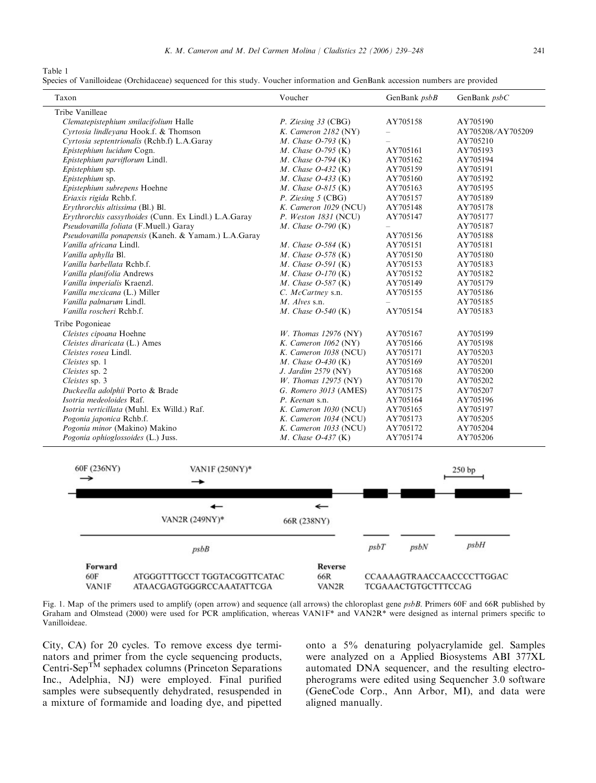Table 1

Species of Vanilloideae (Orchidaceae) sequenced for this study. Voucher information and GenBank accession numbers are provided

| Taxon                                                 | Voucher                | GenBank psbB | GenBank psbC      |
|-------------------------------------------------------|------------------------|--------------|-------------------|
| Tribe Vanilleae                                       |                        |              |                   |
| Clematepistephium smilacifolium Halle                 | P. Ziesing 33 (CBG)    | AY705158     | AY705190          |
| Cyrtosia lindleyana Hook.f. & Thomson                 | K. Cameron 2182 (NY)   |              | AY705208/AY705209 |
| Cyrtosia septentrionalis (Rchb.f) L.A.Garay           | $M.$ Chase O-793 (K)   |              | AY705210          |
| Epistephium lucidum Cogn.                             | $M.$ Chase O-795 (K)   | AY705161     | AY705193          |
| Epistephium parviflorum Lindl.                        | $M.$ Chase O-794 (K)   | AY705162     | AY705194          |
| Epistephium sp.                                       | $M.$ Chase $O-432$ (K) | AY705159     | AY705191          |
| Epistephium sp.                                       | $M.$ Chase O-433 (K)   | AY705160     | AY705192          |
| Epistephium subrepens Hoehne                          | $M.$ Chase $O-815$ (K) | AY705163     | AY705195          |
| Eriaxis rigida Rchb.f.                                | P. Ziesing 5 (CBG)     | AY705157     | AY705189          |
| Erythrorchis altissima (Bl.) Bl.                      | K. Cameron 1029 (NCU)  | AY705148     | AY705178          |
| Erythrorchis cassythoides (Cunn. Ex Lindl.) L.A.Garay | P. Weston 1831 (NCU)   | AY705147     | AY705177          |
| Pseudovanilla foliata (F.Muell.) Garay                | $M.$ Chase O-790 (K)   |              | AY705187          |
| Pseudovanilla ponapensis (Kaneh. & Yamam.) L.A.Garay  |                        | AY705156     | AY705188          |
| Vanilla africana Lindl.                               | $M.$ Chase O-584 (K)   | AY705151     | AY705181          |
| Vanilla aphylla Bl.                                   | $M.$ Chase O-578 (K)   | AY705150     | AY705180          |
| Vanilla barbellata Rchb.f.                            | $M.$ Chase O-591 (K)   | AY705153     | AY705183          |
| Vanilla planifolia Andrews                            | $M.$ Chase O-170 (K)   | AY705152     | AY705182          |
| Vanilla imperialis Kraenzl.                           | $M.$ Chase O-587 (K)   | AY705149     | AY705179          |
| Vanilla mexicana (L.) Miller                          | C. McCartney s.n.      | AY705155     | AY705186          |
| Vanilla palmarum Lindl.                               | $M.$ Alves s.n.        |              | AY705185          |
| Vanilla roscheri Rchb.f.                              | $M.$ Chase O-540 (K)   | AY705154     | AY705183          |
| Tribe Pogonieae                                       |                        |              |                   |
| Cleistes cipoana Hoehne                               | W. Thomas 12976 (NY)   | AY705167     | AY705199          |
| Cleistes divaricata (L.) Ames                         | K. Cameron 1062 (NY)   | AY705166     | AY705198          |
| Cleistes rosea Lindl.                                 | K. Cameron 1038 (NCU)  | AY705171     | AY705203          |
| Cleistes sp. 1                                        | $M.$ Chase $O-430$ (K) | AY705169     | AY705201          |
| Cleistes sp. 2                                        | J. Jardim 2579 (NY)    | AY705168     | AY705200          |
| Cleistes sp. 3                                        | $W.$ Thomas 12975 (NY) | AY705170     | AY705202          |
| Duckeella adolphii Porto & Brade                      | G. Romero 3013 (AMES)  | AY705175     | AY705207          |
| Isotria medeoloides Raf.                              | P. Keenan s.n.         | AY705164     | AY705196          |
| Isotria verticillata (Muhl. Ex Willd.) Raf.           | K. Cameron 1030 (NCU)  | AY705165     | AY705197          |
| Pogonia japonica Rchb.f.                              | K. Cameron 1034 (NCU)  | AY705173     | AY705205          |
| Pogonia minor (Makino) Makino                         | K. Cameron 1033 (NCU)  | AY705172     | AY705204          |
| Pogonia ophioglossoides (L.) Juss.                    | $M.$ Chase O-437 (K)   | AY705174     | AY705206          |
| 60F(236N/V)<br>VANIE (250MV)*                         |                        |              | 250L              |



Fig. 1. Map of the primers used to amplify (open arrow) and sequence (all arrows) the chloroplast gene psbB. Primers 60F and 66R published by Graham and Olmstead (2000) were used for PCR amplification, whereas VAN1F\* and VAN2R\* were designed as internal primers specific to Vanilloideae.

City, CA) for 20 cycles. To remove excess dye terminators and primer from the cycle sequencing products, Centri-Sep<sup>TM</sup> sephadex columns (Princeton Separations Inc., Adelphia, NJ) were employed. Final purified samples were subsequently dehydrated, resuspended in a mixture of formamide and loading dye, and pipetted onto a 5% denaturing polyacrylamide gel. Samples were analyzed on a Applied Biosystems ABI 377XL automated DNA sequencer, and the resulting electropherograms were edited using Sequencher 3.0 software (GeneCode Corp., Ann Arbor, MI), and data were aligned manually.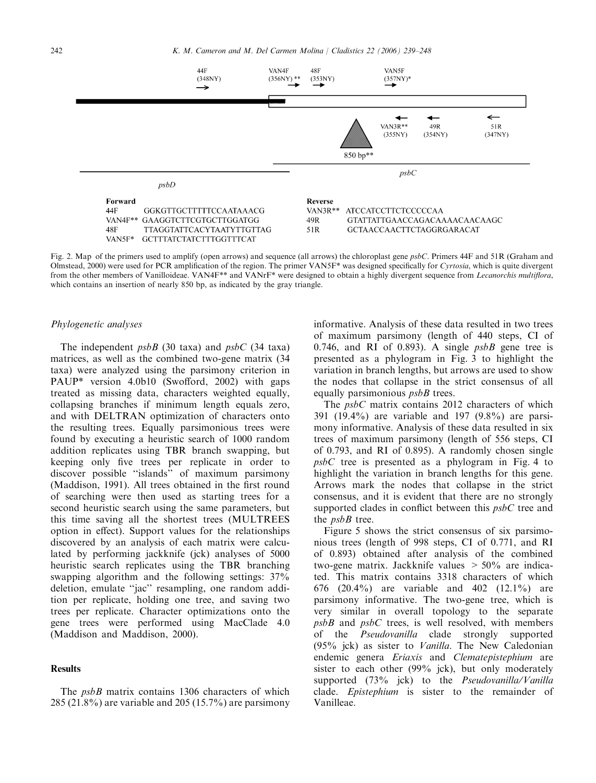

Fig. 2. Map of the primers used to amplify (open arrows) and sequence (all arrows) the chloroplast gene psbC. Primers 44F and 51R (Graham and Olmstead, 2000) were used for PCR amplification of the region. The primer VAN5F<sup>\*</sup> was designed specifically for Cyrtosia, which is quite divergent from the other members of Vanilloideae. VAN4F<sup>\*\*</sup> and VANrF<sup>\*</sup> were designed to obtain a highly divergent sequence from *Lecanorchis multiflora*, which contains an insertion of nearly 850 bp, as indicated by the gray triangle.

## Phylogenetic analyses

The independent  $psbB$  (30 taxa) and  $psbC$  (34 taxa) matrices, as well as the combined two-gene matrix (34 taxa) were analyzed using the parsimony criterion in PAUP\* version 4.0b10 (Swofford, 2002) with gaps treated as missing data, characters weighted equally, collapsing branches if minimum length equals zero, and with DELTRAN optimization of characters onto the resulting trees. Equally parsimonious trees were found by executing a heuristic search of 1000 random addition replicates using TBR branch swapping, but keeping only five trees per replicate in order to discover possible ''islands'' of maximum parsimony (Maddison, 1991). All trees obtained in the first round of searching were then used as starting trees for a second heuristic search using the same parameters, but this time saving all the shortest trees (MULTREES option in effect). Support values for the relationships discovered by an analysis of each matrix were calculated by performing jackknife (jck) analyses of 5000 heuristic search replicates using the TBR branching swapping algorithm and the following settings: 37% deletion, emulate ''jac'' resampling, one random addition per replicate, holding one tree, and saving two trees per replicate. Character optimizations onto the gene trees were performed using MacClade 4.0 (Maddison and Maddison, 2000).

# Results

The *psbB* matrix contains 1306 characters of which 285 (21.8%) are variable and 205 (15.7%) are parsimony informative. Analysis of these data resulted in two trees of maximum parsimony (length of 440 steps, CI of 0.746, and RI of 0.893). A single  $psbB$  gene tree is presented as a phylogram in Fig. 3 to highlight the variation in branch lengths, but arrows are used to show the nodes that collapse in the strict consensus of all equally parsimonious *psbB* trees.

The *psbC* matrix contains 2012 characters of which 391 (19.4%) are variable and 197 (9.8%) are parsimony informative. Analysis of these data resulted in six trees of maximum parsimony (length of 556 steps, CI of 0.793, and RI of 0.895). A randomly chosen single psbC tree is presented as a phylogram in Fig. 4 to highlight the variation in branch lengths for this gene. Arrows mark the nodes that collapse in the strict consensus, and it is evident that there are no strongly supported clades in conflict between this  $psbC$  tree and the *psbB* tree.

Figure 5 shows the strict consensus of six parsimonious trees (length of 998 steps, CI of 0.771, and RI of 0.893) obtained after analysis of the combined two-gene matrix. Jackknife values > 50% are indicated. This matrix contains 3318 characters of which 676 (20.4%) are variable and 402 (12.1%) are parsimony informative. The two-gene tree, which is very similar in overall topology to the separate  $psbB$  and  $psbC$  trees, is well resolved, with members of the Pseudovanilla clade strongly supported (95% jck) as sister to Vanilla. The New Caledonian endemic genera Eriaxis and Clematepistephium are sister to each other (99% jck), but only moderately supported  $(73\%$  jck) to the *Pseudovanilla/Vanilla* clade. Epistephium is sister to the remainder of Vanilleae.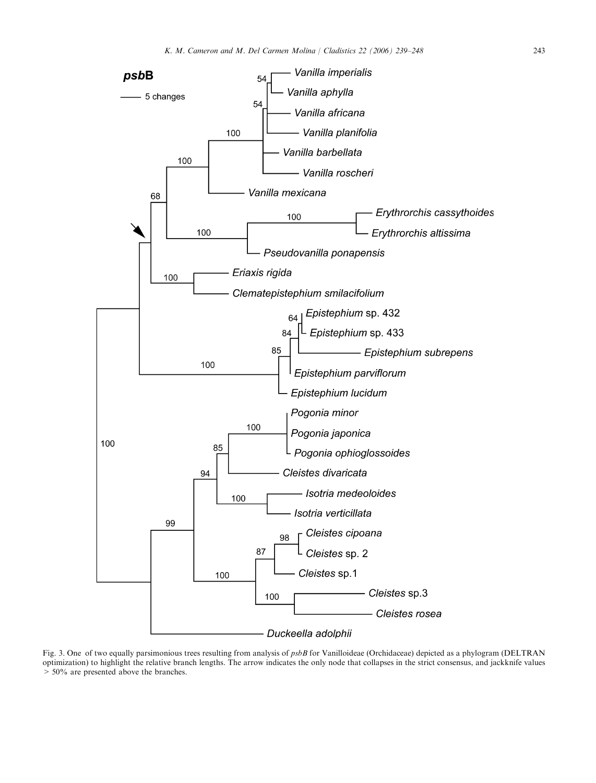

Fig. 3. One of two equally parsimonious trees resulting from analysis of psbB for Vanilloideae (Orchidaceae) depicted as a phylogram (DELTRAN optimization) to highlight the relative branch lengths. The arrow indicates the only node that collapses in the strict consensus, and jackknife values > 50% are presented above the branches.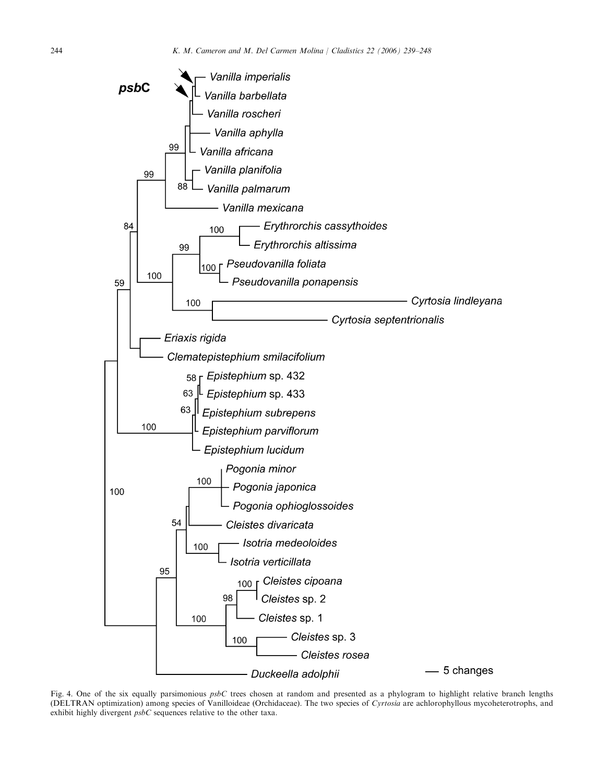

Fig. 4. One of the six equally parsimonious  $psbC$  trees chosen at random and presented as a phylogram to highlight relative branch lengths (DELTRAN optimization) among species of Vanilloideae (Orchidaceae). The two species of Cyrtosia are achlorophyllous mycoheterotrophs, and exhibit highly divergent  $psbC$  sequences relative to the other taxa.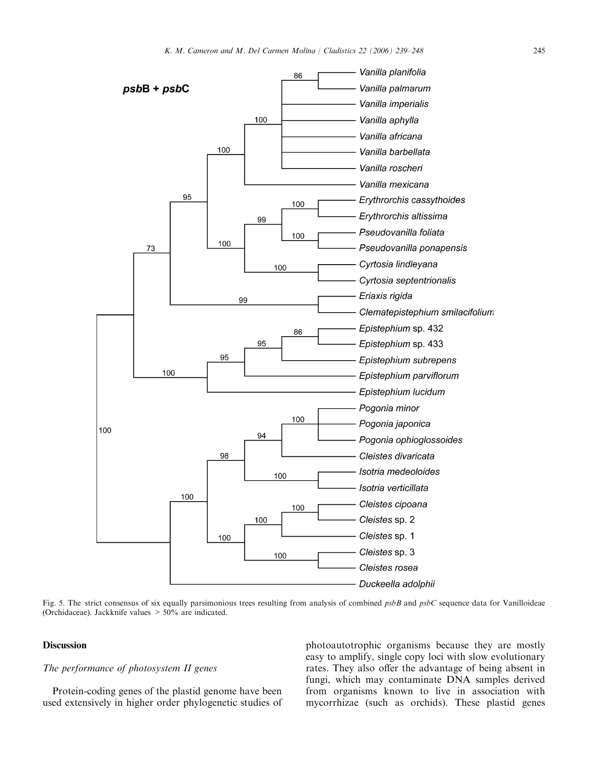

Fig. 5. The strict consensus of six equally parsimonious trees resulting from analysis of combined psbB and psbC sequence data for Vanilloideae (Orchidaceae). Jackknife values > 50% are indicated.

## **Discussion**

# The performance of photosystem II genes

Protein-coding genes of the plastid genome have been used extensively in higher order phylogenetic studies of photoautotrophic organisms because they are mostly easy to amplify, single copy loci with slow evolutionary rates. They also offer the advantage of being absent in fungi, which may contaminate DNA samples derived from organisms known to live in association with mycorrhizae (such as orchids). These plastid genes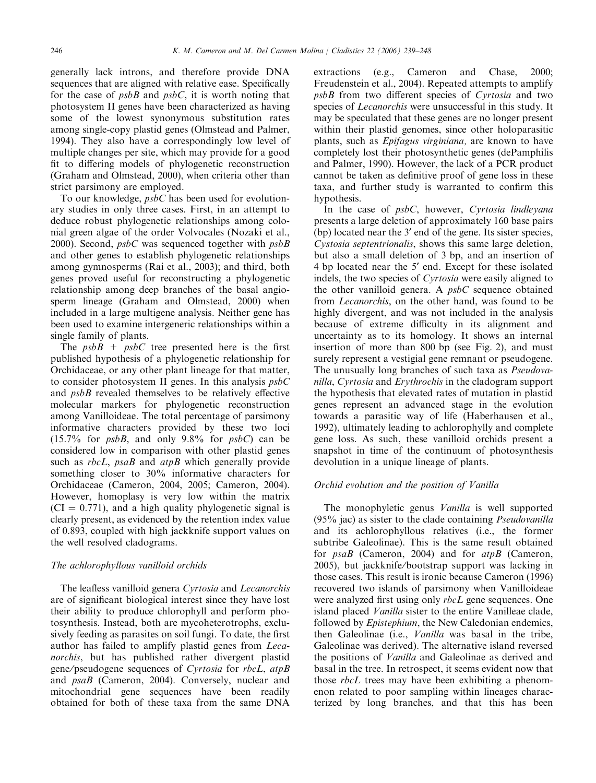generally lack introns, and therefore provide DNA sequences that are aligned with relative ease. Specifically for the case of  $psbB$  and  $psbC$ , it is worth noting that photosystem II genes have been characterized as having some of the lowest synonymous substitution rates among single-copy plastid genes (Olmstead and Palmer, 1994). They also have a correspondingly low level of multiple changes per site, which may provide for a good fit to differing models of phylogenetic reconstruction (Graham and Olmstead, 2000), when criteria other than strict parsimony are employed.

To our knowledge, *psbC* has been used for evolutionary studies in only three cases. First, in an attempt to deduce robust phylogenetic relationships among colonial green algae of the order Volvocales (Nozaki et al., 2000). Second,  $psbC$  was sequenced together with  $psbB$ and other genes to establish phylogenetic relationships among gymnosperms (Rai et al., 2003); and third, both genes proved useful for reconstructing a phylogenetic relationship among deep branches of the basal angiosperm lineage (Graham and Olmstead, 2000) when included in a large multigene analysis. Neither gene has been used to examine intergeneric relationships within a single family of plants.

The  $psbB + psbC$  tree presented here is the first published hypothesis of a phylogenetic relationship for Orchidaceae, or any other plant lineage for that matter, to consider photosystem II genes. In this analysis  $psbC$ and psbB revealed themselves to be relatively effective molecular markers for phylogenetic reconstruction among Vanilloideae. The total percentage of parsimony informative characters provided by these two loci  $(15.7\%$  for psbB, and only 9.8% for psbC) can be considered low in comparison with other plastid genes such as *rbcL*, *psaB* and *atpB* which generally provide something closer to 30% informative characters for Orchidaceae (Cameron, 2004, 2005; Cameron, 2004). However, homoplasy is very low within the matrix  $(CI = 0.771)$ , and a high quality phylogenetic signal is clearly present, as evidenced by the retention index value of 0.893, coupled with high jackknife support values on the well resolved cladograms.

# The achlorophyllous vanilloid orchids

The leafless vanilloid genera Cyrtosia and Lecanorchis are of significant biological interest since they have lost their ability to produce chlorophyll and perform photosynthesis. Instead, both are mycoheterotrophs, exclusively feeding as parasites on soil fungi. To date, the first author has failed to amplify plastid genes from Lecanorchis, but has published rather divergent plastid gene/pseudogene sequences of Cyrtosia for rbcL, atpB and psaB (Cameron, 2004). Conversely, nuclear and mitochondrial gene sequences have been readily obtained for both of these taxa from the same DNA

extractions (e.g., Cameron and Chase, 2000; Freudenstein et al., 2004). Repeated attempts to amplify psbB from two different species of Cyrtosia and two species of *Lecanorchis* were unsuccessful in this study. It may be speculated that these genes are no longer present within their plastid genomes, since other holoparasitic plants, such as Epifagus virginiana, are known to have completely lost their photosynthetic genes (dePamphilis and Palmer, 1990). However, the lack of a PCR product cannot be taken as definitive proof of gene loss in these taxa, and further study is warranted to confirm this hypothesis.

In the case of *psbC*, however, *Cyrtosia lindleyana* presents a large deletion of approximately 160 base pairs (bp) located near the 3' end of the gene. Its sister species, Cystosia septentrionalis, shows this same large deletion, but also a small deletion of 3 bp, and an insertion of 4 bp located near the 5¢ end. Except for these isolated indels, the two species of Cyrtosia were easily aligned to the other vanilloid genera. A  $psbC$  sequence obtained from Lecanorchis, on the other hand, was found to be highly divergent, and was not included in the analysis because of extreme difficulty in its alignment and uncertainty as to its homology. It shows an internal insertion of more than 800 bp (see Fig. 2), and must surely represent a vestigial gene remnant or pseudogene. The unusually long branches of such taxa as Pseudovanilla, Cyrtosia and Erythrochis in the cladogram support the hypothesis that elevated rates of mutation in plastid genes represent an advanced stage in the evolution towards a parasitic way of life (Haberhausen et al., 1992), ultimately leading to achlorophylly and complete gene loss. As such, these vanilloid orchids present a snapshot in time of the continuum of photosynthesis devolution in a unique lineage of plants.

## Orchid evolution and the position of Vanilla

The monophyletic genus Vanilla is well supported (95% jac) as sister to the clade containing Pseudovanilla and its achlorophyllous relatives (i.e., the former subtribe Galeolinae). This is the same result obtained for *psaB* (Cameron, 2004) and for *atpB* (Cameron, 2005), but jackknife ⁄bootstrap support was lacking in those cases. This result is ironic because Cameron (1996) recovered two islands of parsimony when Vanilloideae were analyzed first using only rbcL gene sequences. One island placed Vanilla sister to the entire Vanilleae clade, followed by *Epistephium*, the New Caledonian endemics, then Galeolinae (i.e., Vanilla was basal in the tribe, Galeolinae was derived). The alternative island reversed the positions of Vanilla and Galeolinae as derived and basal in the tree. In retrospect, it seems evident now that those *rbcL* trees may have been exhibiting a phenomenon related to poor sampling within lineages characterized by long branches, and that this has been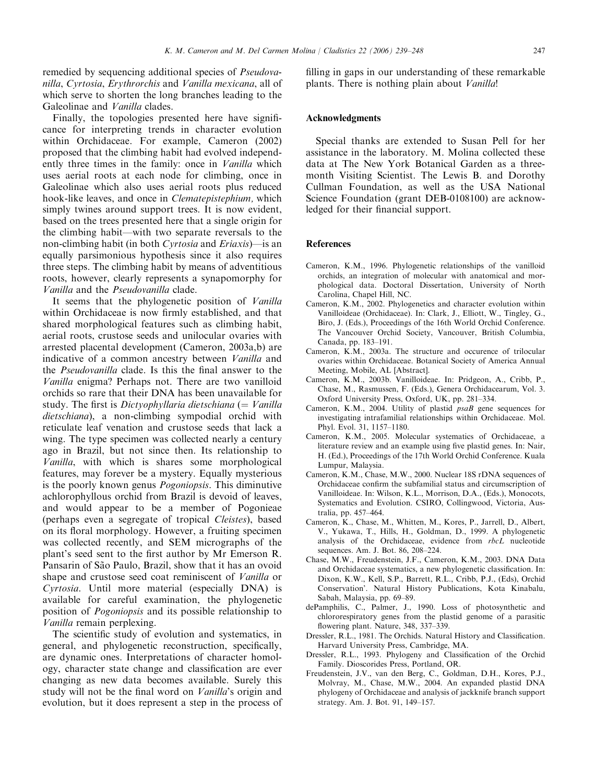remedied by sequencing additional species of Pseudovanilla, Cyrtosia, Erythrorchis and Vanilla mexicana, all of which serve to shorten the long branches leading to the Galeolinae and Vanilla clades.

Finally, the topologies presented here have significance for interpreting trends in character evolution within Orchidaceae. For example, Cameron (2002) proposed that the climbing habit had evolved independently three times in the family: once in *Vanilla* which uses aerial roots at each node for climbing, once in Galeolinae which also uses aerial roots plus reduced hook-like leaves, and once in Clematepistephium, which simply twines around support trees. It is now evident, based on the trees presented here that a single origin for the climbing habit—with two separate reversals to the non-climbing habit (in both Cyrtosia and Eriaxis)—is an equally parsimonious hypothesis since it also requires three steps. The climbing habit by means of adventitious roots, however, clearly represents a synapomorphy for Vanilla and the Pseudovanilla clade.

It seems that the phylogenetic position of *Vanilla* within Orchidaceae is now firmly established, and that shared morphological features such as climbing habit, aerial roots, crustose seeds and unilocular ovaries with arrested placental development (Cameron, 2003a,b) are indicative of a common ancestry between Vanilla and the Pseudovanilla clade. Is this the final answer to the Vanilla enigma? Perhaps not. There are two vanilloid orchids so rare that their DNA has been unavailable for study. The first is *Dictyophyllaria dietschiana* ( $=$  Vanilla dietschiana), a non-climbing sympodial orchid with reticulate leaf venation and crustose seeds that lack a wing. The type specimen was collected nearly a century ago in Brazil, but not since then. Its relationship to Vanilla, with which is shares some morphological features, may forever be a mystery. Equally mysterious is the poorly known genus Pogoniopsis. This diminutive achlorophyllous orchid from Brazil is devoid of leaves, and would appear to be a member of Pogonieae (perhaps even a segregate of tropical Cleistes), based on its floral morphology. However, a fruiting specimen was collected recently, and SEM micrographs of the plant's seed sent to the first author by Mr Emerson R. Pansarin of São Paulo, Brazil, show that it has an ovoid shape and crustose seed coat reminiscent of Vanilla or Cyrtosia. Until more material (especially DNA) is available for careful examination, the phylogenetic position of Pogoniopsis and its possible relationship to Vanilla remain perplexing.

The scientific study of evolution and systematics, in general, and phylogenetic reconstruction, specifically, are dynamic ones. Interpretations of character homology, character state change and classification are ever changing as new data becomes available. Surely this study will not be the final word on Vanilla's origin and evolution, but it does represent a step in the process of filling in gaps in our understanding of these remarkable plants. There is nothing plain about Vanilla!

#### Acknowledgments

Special thanks are extended to Susan Pell for her assistance in the laboratory. M. Molina collected these data at The New York Botanical Garden as a threemonth Visiting Scientist. The Lewis B. and Dorothy Cullman Foundation, as well as the USA National Science Foundation (grant DEB-0108100) are acknowledged for their financial support.

#### References

- Cameron, K.M., 1996. Phylogenetic relationships of the vanilloid orchids, an integration of molecular with anatomical and morphological data. Doctoral Dissertation, University of North Carolina, Chapel Hill, NC.
- Cameron, K.M., 2002. Phylogenetics and character evolution within Vanilloideae (Orchidaceae). In: Clark, J., Elliott, W., Tingley, G., Biro, J. (Eds.), Proceedings of the 16th World Orchid Conference. The Vancouver Orchid Society, Vancouver, British Columbia, Canada, pp. 183–191.
- Cameron, K.M., 2003a. The structure and occurence of trilocular ovaries within Orchidaceae. Botanical Society of America Annual Meeting, Mobile, AL [Abstract].
- Cameron, K.M., 2003b. Vanilloideae. In: Pridgeon, A., Cribb, P., Chase, M., Rasmussen, F. (Eds.), Genera Orchidacearum, Vol. 3. Oxford University Press, Oxford, UK, pp. 281–334.
- Cameron, K.M., 2004. Utility of plastid psaB gene sequences for investigating intrafamilial relationships within Orchidaceae. Mol. Phyl. Evol. 31, 1157–1180.
- Cameron, K.M., 2005. Molecular systematics of Orchidaceae, a literature review and an example using five plastid genes. In: Nair, H. (Ed.), Proceedings of the 17th World Orchid Conference. Kuala Lumpur, Malaysia.
- Cameron, K.M., Chase, M.W., 2000. Nuclear 18S rDNA sequences of Orchidaceae confirm the subfamilial status and circumscription of Vanilloideae. In: Wilson, K.L., Morrison, D.A., (Eds.), Monocots, Systematics and Evolution. CSIRO, Collingwood, Victoria, Australia, pp. 457–464.
- Cameron, K., Chase, M., Whitten, M., Kores, P., Jarrell, D., Albert, V., Yukawa, T., Hills, H., Goldman, D., 1999. A phylogenetic analysis of the Orchidaceae, evidence from rbcL nucleotide sequences. Am. J. Bot. 86, 208–224.
- Chase, M.W., Freudenstein, J.F., Cameron, K.M., 2003. DNA Data and Orchidaceae systematics, a new phylogenetic classification. In: Dixon, K.W., Kell, S.P., Barrett, R.L., Cribb, P.J., (Eds), Orchid Conservation'. Natural History Publications, Kota Kinabalu, Sabah, Malaysia, pp. 69–89.
- dePamphilis, C., Palmer, J., 1990. Loss of photosynthetic and chlororespiratory genes from the plastid genome of a parasitic flowering plant. Nature, 348, 337–339.
- Dressler, R.L., 1981. The Orchids. Natural History and Classification. Harvard University Press, Cambridge, MA.
- Dressler, R.L., 1993. Phylogeny and Classification of the Orchid Family. Dioscorides Press, Portland, OR.
- Freudenstein, J.V., van den Berg, C., Goldman, D.H., Kores, P.J., Molvray, M., Chase, M.W., 2004. An expanded plastid DNA phylogeny of Orchidaceae and analysis of jackknife branch support strategy. Am. J. Bot. 91, 149–157.